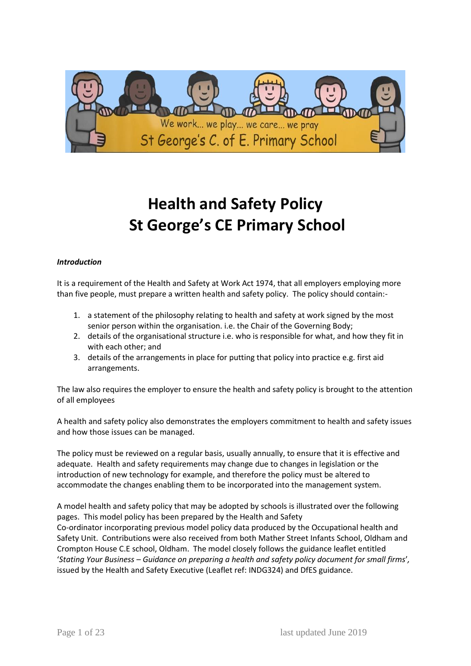

# **Health and Safety Policy St George's CE Primary School**

## *Introduction*

It is a requirement of the Health and Safety at Work Act 1974, that all employers employing more than five people, must prepare a written health and safety policy. The policy should contain:-

- 1. a statement of the philosophy relating to health and safety at work signed by the most senior person within the organisation. i.e. the Chair of the Governing Body;
- 2. details of the organisational structure i.e. who is responsible for what, and how they fit in with each other; and
- 3. details of the arrangements in place for putting that policy into practice e.g. first aid arrangements.

The law also requires the employer to ensure the health and safety policy is brought to the attention of all employees

A health and safety policy also demonstrates the employers commitment to health and safety issues and how those issues can be managed.

The policy must be reviewed on a regular basis, usually annually, to ensure that it is effective and adequate. Health and safety requirements may change due to changes in legislation or the introduction of new technology for example, and therefore the policy must be altered to accommodate the changes enabling them to be incorporated into the management system.

A model health and safety policy that may be adopted by schools is illustrated over the following pages. This model policy has been prepared by the Health and Safety Co-ordinator incorporating previous model policy data produced by the Occupational health and Safety Unit. Contributions were also received from both Mather Street Infants School, Oldham and Crompton House C.E school, Oldham. The model closely follows the guidance leaflet entitled '*Stating Your Business – Guidance on preparing a health and safety policy document for small firms*'*,* issued by the Health and Safety Executive (Leaflet ref: INDG324) and DfES guidance.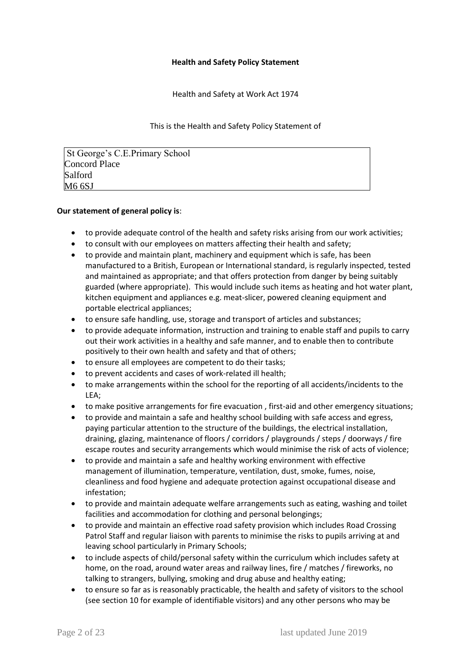#### **Health and Safety Policy Statement**

Health and Safety at Work Act 1974

This is the Health and Safety Policy Statement of

St George's C.E.Primary School Concord Place Salford M6 6SJ

## **Our statement of general policy is**:

- to provide adequate control of the health and safety risks arising from our work activities;
- to consult with our employees on matters affecting their health and safety;
- to provide and maintain plant, machinery and equipment which is safe, has been manufactured to a British, European or International standard, is regularly inspected, tested and maintained as appropriate; and that offers protection from danger by being suitably guarded (where appropriate). This would include such items as heating and hot water plant, kitchen equipment and appliances e.g. meat-slicer, powered cleaning equipment and portable electrical appliances;
- to ensure safe handling, use, storage and transport of articles and substances;
- to provide adequate information, instruction and training to enable staff and pupils to carry out their work activities in a healthy and safe manner, and to enable then to contribute positively to their own health and safety and that of others;
- to ensure all employees are competent to do their tasks;
- to prevent accidents and cases of work-related ill health;
- to make arrangements within the school for the reporting of all accidents/incidents to the LEA;
- to make positive arrangements for fire evacuation , first-aid and other emergency situations;
- to provide and maintain a safe and healthy school building with safe access and egress, paying particular attention to the structure of the buildings, the electrical installation, draining, glazing, maintenance of floors / corridors / playgrounds / steps / doorways / fire escape routes and security arrangements which would minimise the risk of acts of violence;
- to provide and maintain a safe and healthy working environment with effective management of illumination, temperature, ventilation, dust, smoke, fumes, noise, cleanliness and food hygiene and adequate protection against occupational disease and infestation;
- to provide and maintain adequate welfare arrangements such as eating, washing and toilet facilities and accommodation for clothing and personal belongings;
- to provide and maintain an effective road safety provision which includes Road Crossing Patrol Staff and regular liaison with parents to minimise the risks to pupils arriving at and leaving school particularly in Primary Schools;
- to include aspects of child/personal safety within the curriculum which includes safety at home, on the road, around water areas and railway lines, fire / matches / fireworks, no talking to strangers, bullying, smoking and drug abuse and healthy eating;
- to ensure so far as is reasonably practicable, the health and safety of visitors to the school (see section 10 for example of identifiable visitors) and any other persons who may be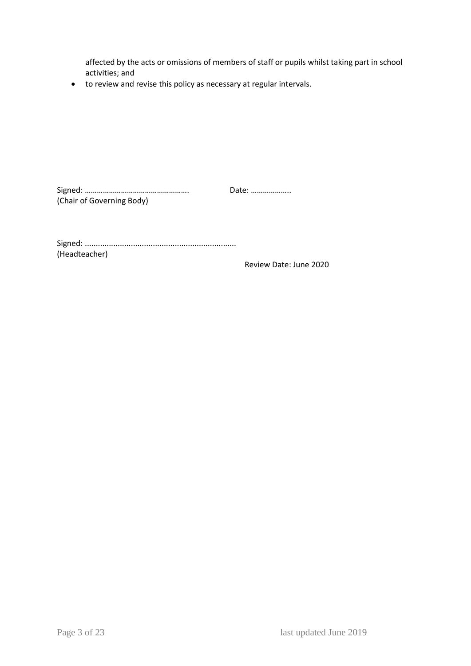affected by the acts or omissions of members of staff or pupils whilst taking part in school activities; and

to review and revise this policy as necessary at regular intervals.

Signed: ……………………………………………. Date: ……………….. (Chair of Governing Body)

Signed: ..................................................................... (Headteacher)

Review Date: June 2020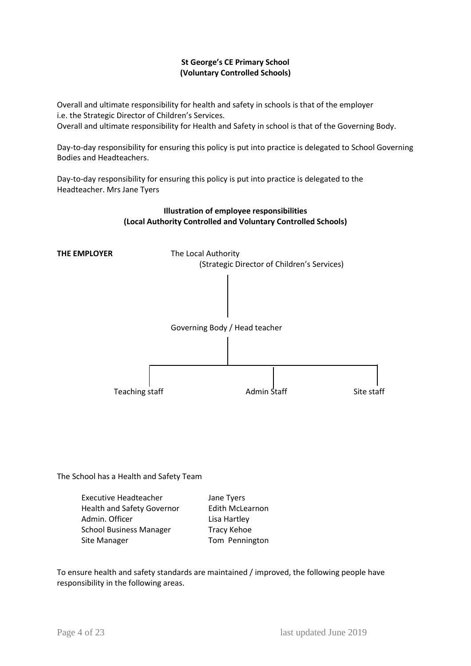# **St George's CE Primary School (Voluntary Controlled Schools)**

Overall and ultimate responsibility for health and safety in schools is that of the employer i.e. the Strategic Director of Children's Services. Overall and ultimate responsibility for Health and Safety in school is that of the Governing Body.

Day-to-day responsibility for ensuring this policy is put into practice is delegated to School Governing Bodies and Headteachers.

Day-to-day responsibility for ensuring this policy is put into practice is delegated to the Headteacher. Mrs Jane Tyers



**Illustration of employee responsibilities**

The School has a Health and Safety Team

| <b>Executive Headteacher</b>      | Jane Tyers             |
|-----------------------------------|------------------------|
| <b>Health and Safety Governor</b> | <b>Edith McLearnon</b> |
| Admin. Officer                    | Lisa Hartley           |
| <b>School Business Manager</b>    | <b>Tracy Kehoe</b>     |
| Site Manager                      | Tom Pennington         |

To ensure health and safety standards are maintained / improved, the following people have responsibility in the following areas.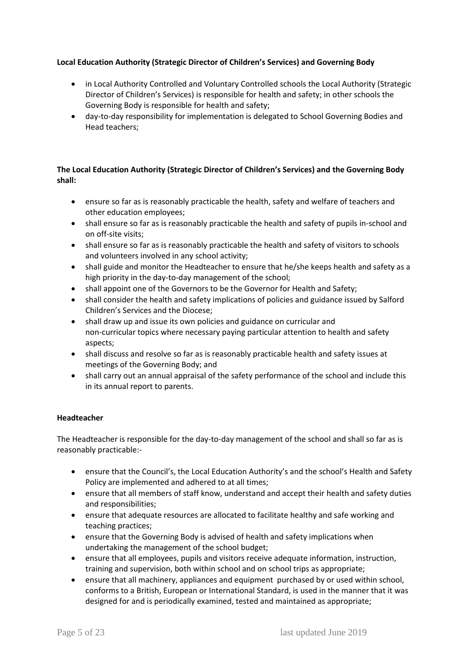# **Local Education Authority (Strategic Director of Children's Services) and Governing Body**

- in Local Authority Controlled and Voluntary Controlled schools the Local Authority (Strategic Director of Children's Services) is responsible for health and safety; in other schools the Governing Body is responsible for health and safety;
- day-to-day responsibility for implementation is delegated to School Governing Bodies and Head teachers;

# **The Local Education Authority (Strategic Director of Children's Services) and the Governing Body shall:**

- ensure so far as is reasonably practicable the health, safety and welfare of teachers and other education employees;
- shall ensure so far as is reasonably practicable the health and safety of pupils in-school and on off-site visits;
- shall ensure so far as is reasonably practicable the health and safety of visitors to schools and volunteers involved in any school activity;
- shall guide and monitor the Headteacher to ensure that he/she keeps health and safety as a high priority in the day-to-day management of the school;
- shall appoint one of the Governors to be the Governor for Health and Safety;
- shall consider the health and safety implications of policies and guidance issued by Salford Children's Services and the Diocese;
- shall draw up and issue its own policies and guidance on curricular and non-curricular topics where necessary paying particular attention to health and safety aspects;
- shall discuss and resolve so far as is reasonably practicable health and safety issues at meetings of the Governing Body; and
- shall carry out an annual appraisal of the safety performance of the school and include this in its annual report to parents.

# **Headteacher**

The Headteacher is responsible for the day-to-day management of the school and shall so far as is reasonably practicable:-

- ensure that the Council's, the Local Education Authority's and the school's Health and Safety Policy are implemented and adhered to at all times;
- ensure that all members of staff know, understand and accept their health and safety duties and responsibilities;
- ensure that adequate resources are allocated to facilitate healthy and safe working and teaching practices;
- ensure that the Governing Body is advised of health and safety implications when undertaking the management of the school budget;
- ensure that all employees, pupils and visitors receive adequate information, instruction, training and supervision, both within school and on school trips as appropriate;
- ensure that all machinery, appliances and equipment purchased by or used within school, conforms to a British, European or International Standard, is used in the manner that it was designed for and is periodically examined, tested and maintained as appropriate;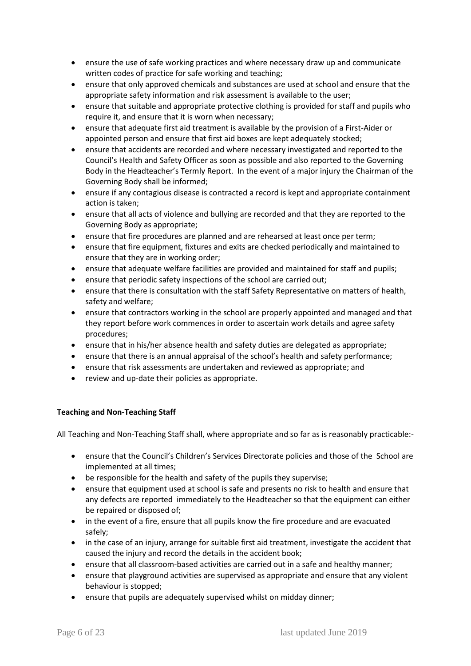- ensure the use of safe working practices and where necessary draw up and communicate written codes of practice for safe working and teaching;
- ensure that only approved chemicals and substances are used at school and ensure that the appropriate safety information and risk assessment is available to the user;
- ensure that suitable and appropriate protective clothing is provided for staff and pupils who require it, and ensure that it is worn when necessary;
- ensure that adequate first aid treatment is available by the provision of a First-Aider or appointed person and ensure that first aid boxes are kept adequately stocked;
- ensure that accidents are recorded and where necessary investigated and reported to the Council's Health and Safety Officer as soon as possible and also reported to the Governing Body in the Headteacher's Termly Report. In the event of a major injury the Chairman of the Governing Body shall be informed;
- ensure if any contagious disease is contracted a record is kept and appropriate containment action is taken;
- ensure that all acts of violence and bullying are recorded and that they are reported to the Governing Body as appropriate;
- ensure that fire procedures are planned and are rehearsed at least once per term;
- ensure that fire equipment, fixtures and exits are checked periodically and maintained to ensure that they are in working order;
- ensure that adequate welfare facilities are provided and maintained for staff and pupils;
- ensure that periodic safety inspections of the school are carried out;
- ensure that there is consultation with the staff Safety Representative on matters of health, safety and welfare;
- ensure that contractors working in the school are properly appointed and managed and that they report before work commences in order to ascertain work details and agree safety procedures;
- ensure that in his/her absence health and safety duties are delegated as appropriate;
- ensure that there is an annual appraisal of the school's health and safety performance;
- ensure that risk assessments are undertaken and reviewed as appropriate; and
- review and up-date their policies as appropriate.

#### **Teaching and Non-Teaching Staff**

All Teaching and Non-Teaching Staff shall, where appropriate and so far as is reasonably practicable:-

- ensure that the Council's Children's Services Directorate policies and those of the School are implemented at all times;
- be responsible for the health and safety of the pupils they supervise;
- ensure that equipment used at school is safe and presents no risk to health and ensure that any defects are reported immediately to the Headteacher so that the equipment can either be repaired or disposed of;
- in the event of a fire, ensure that all pupils know the fire procedure and are evacuated safely;
- in the case of an injury, arrange for suitable first aid treatment, investigate the accident that caused the injury and record the details in the accident book;
- ensure that all classroom-based activities are carried out in a safe and healthy manner;
- ensure that playground activities are supervised as appropriate and ensure that any violent behaviour is stopped;
- ensure that pupils are adequately supervised whilst on midday dinner;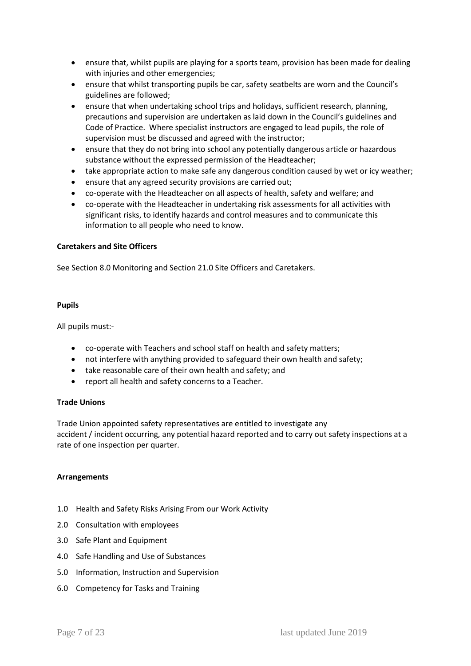- ensure that, whilst pupils are playing for a sports team, provision has been made for dealing with injuries and other emergencies;
- ensure that whilst transporting pupils be car, safety seatbelts are worn and the Council's guidelines are followed;
- ensure that when undertaking school trips and holidays, sufficient research, planning, precautions and supervision are undertaken as laid down in the Council's guidelines and Code of Practice. Where specialist instructors are engaged to lead pupils, the role of supervision must be discussed and agreed with the instructor;
- ensure that they do not bring into school any potentially dangerous article or hazardous substance without the expressed permission of the Headteacher;
- take appropriate action to make safe any dangerous condition caused by wet or icy weather;
- ensure that any agreed security provisions are carried out;
- co-operate with the Headteacher on all aspects of health, safety and welfare; and
- co-operate with the Headteacher in undertaking risk assessments for all activities with significant risks, to identify hazards and control measures and to communicate this information to all people who need to know.

#### **Caretakers and Site Officers**

See Section 8.0 Monitoring and Section 21.0 Site Officers and Caretakers.

#### **Pupils**

All pupils must:-

- co-operate with Teachers and school staff on health and safety matters;
- not interfere with anything provided to safeguard their own health and safety;
- take reasonable care of their own health and safety; and
- report all health and safety concerns to a Teacher.

#### **Trade Unions**

Trade Union appointed safety representatives are entitled to investigate any accident / incident occurring, any potential hazard reported and to carry out safety inspections at a rate of one inspection per quarter.

#### **Arrangements**

- 1.0 Health and Safety Risks Arising From our Work Activity
- 2.0 Consultation with employees
- 3.0 Safe Plant and Equipment
- 4.0 Safe Handling and Use of Substances
- 5.0 Information, Instruction and Supervision
- 6.0 Competency for Tasks and Training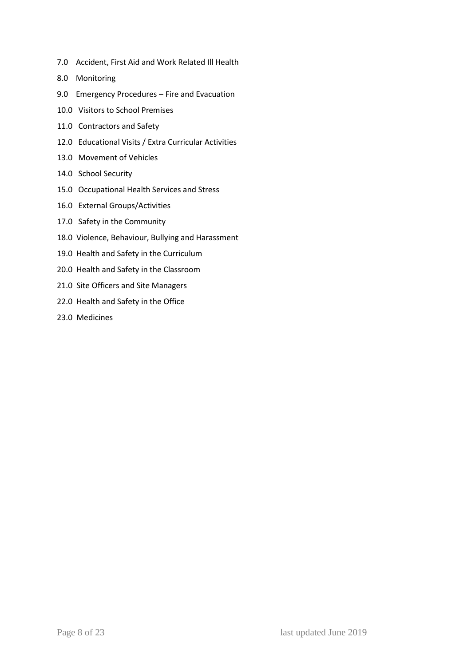- 7.0 Accident, First Aid and Work Related Ill Health
- 8.0 Monitoring
- 9.0 Emergency Procedures Fire and Evacuation
- 10.0 Visitors to School Premises
- 11.0 Contractors and Safety
- 12.0 Educational Visits / Extra Curricular Activities
- 13.0 Movement of Vehicles
- 14.0 School Security
- 15.0 Occupational Health Services and Stress
- 16.0 External Groups/Activities
- 17.0 Safety in the Community
- 18.0 Violence, Behaviour, Bullying and Harassment
- 19.0 Health and Safety in the Curriculum
- 20.0 Health and Safety in the Classroom
- 21.0 Site Officers and Site Managers
- 22.0 Health and Safety in the Office
- 23.0 Medicines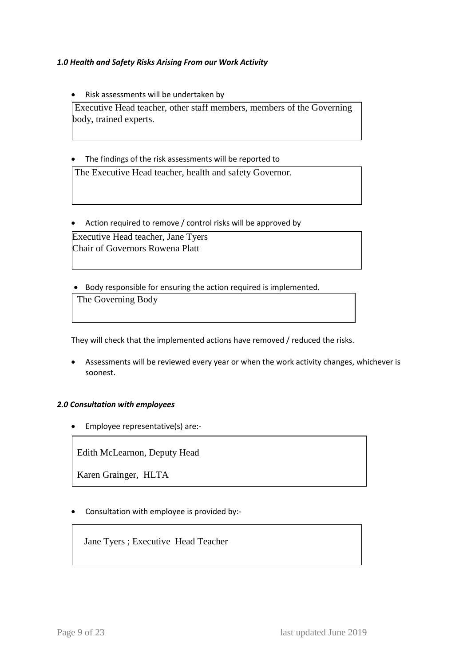# *1.0 Health and Safety Risks Arising From our Work Activity*

• Risk assessments will be undertaken by

Executive Head teacher, other staff members, members of the Governing body, trained experts.

The findings of the risk assessments will be reported to

The Executive Head teacher, health and safety Governor.

• Action required to remove / control risks will be approved by

Executive Head teacher, Jane Tyers Chair of Governors Rowena Platt

Body responsible for ensuring the action required is implemented.

The Governing Body

They will check that the implemented actions have removed / reduced the risks.

 Assessments will be reviewed every year or when the work activity changes, whichever is soonest.

#### *2.0 Consultation with employees*

Employee representative(s) are:-

Edith McLearnon, Deputy Head

Karen Grainger, HLTA

Consultation with employee is provided by:-

Jane Tyers ; Executive Head Teacher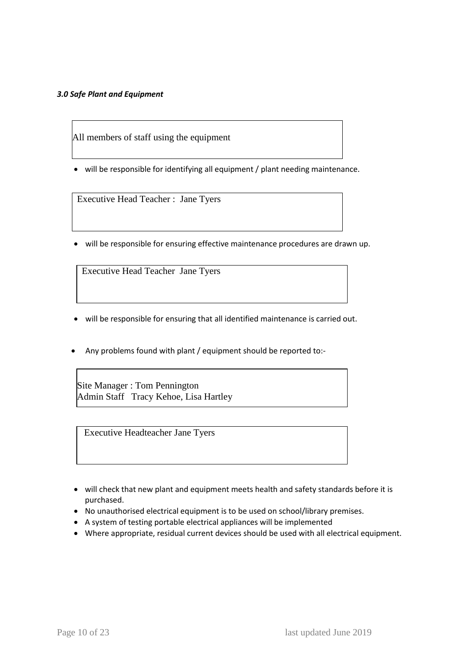## *3.0 Safe Plant and Equipment*

All members of staff using the equipment

• will be responsible for identifying all equipment / plant needing maintenance.

Executive Head Teacher : Jane Tyers

will be responsible for ensuring effective maintenance procedures are drawn up.

Executive Head Teacher Jane Tyers

- will be responsible for ensuring that all identified maintenance is carried out.
- Any problems found with plant / equipment should be reported to:-

Site Manager : Tom Pennington Admin Staff Tracy Kehoe, Lisa Hartley

Executive Headteacher Jane Tyers

- will check that new plant and equipment meets health and safety standards before it is purchased.
- No unauthorised electrical equipment is to be used on school/library premises.
- A system of testing portable electrical appliances will be implemented
- Where appropriate, residual current devices should be used with all electrical equipment.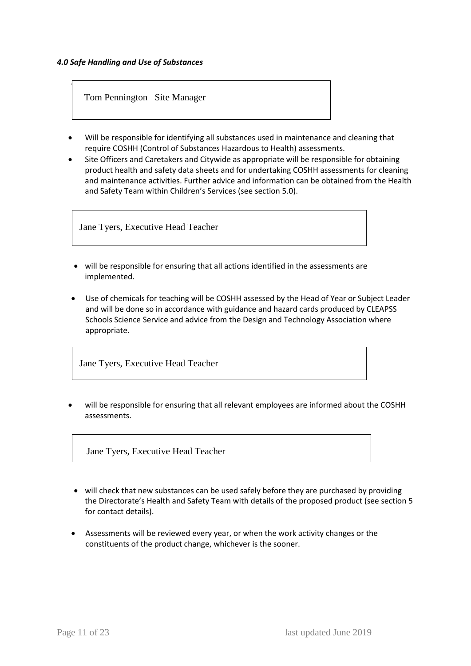Γ

Tom Pennington Site Manager

- Will be responsible for identifying all substances used in maintenance and cleaning that require COSHH (Control of Substances Hazardous to Health) assessments.
- Site Officers and Caretakers and Citywide as appropriate will be responsible for obtaining product health and safety data sheets and for undertaking COSHH assessments for cleaning and maintenance activities. Further advice and information can be obtained from the Health and Safety Team within Children's Services (see section 5.0).

Jane Tyers, Executive Head Teacher

- will be responsible for ensuring that all actions identified in the assessments are implemented.
- Use of chemicals for teaching will be COSHH assessed by the Head of Year or Subject Leader and will be done so in accordance with guidance and hazard cards produced by CLEAPSS Schools Science Service and advice from the Design and Technology Association where appropriate.

Jane Tyers, Executive Head Teacher

 will be responsible for ensuring that all relevant employees are informed about the COSHH assessments.

Jane Tyers, Executive Head Teacher

- will check that new substances can be used safely before they are purchased by providing the Directorate's Health and Safety Team with details of the proposed product (see section 5 for contact details).
- Assessments will be reviewed every year, or when the work activity changes or the constituents of the product change, whichever is the sooner.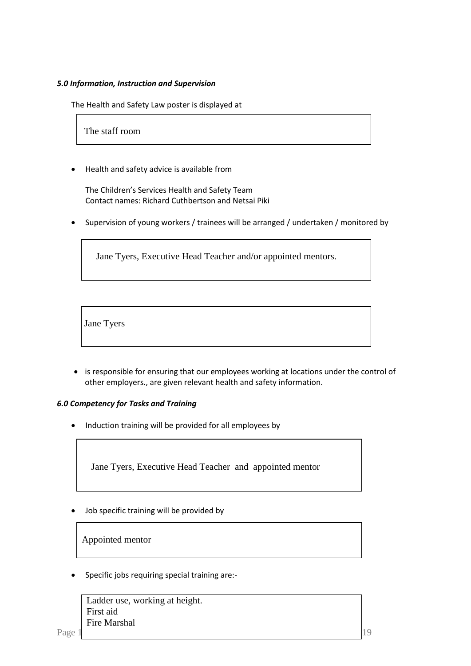## *5.0 Information, Instruction and Supervision*

The Health and Safety Law poster is displayed at

The staff room

Health and safety advice is available from

The Children's Services Health and Safety Team Contact names: Richard Cuthbertson and Netsai Piki

• Supervision of young workers / trainees will be arranged / undertaken / monitored by

Jane Tyers, Executive Head Teacher and/or appointed mentors.

Jane Tyers

• is responsible for ensuring that our employees working at locations under the control of other employers., are given relevant health and safety information.

#### *6.0 Competency for Tasks and Training*

Induction training will be provided for all employees by

Jane Tyers, Executive Head Teacher and appointed mentor

Job specific training will be provided by

Appointed mentor

Specific jobs requiring special training are:-

 Ladder use, working at height. First aid Fire Marshal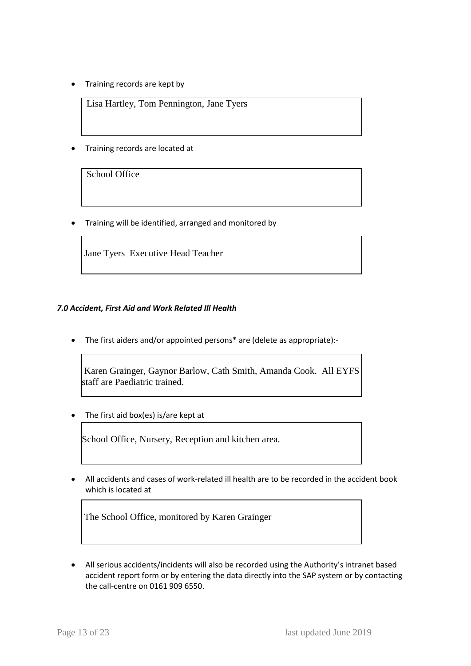• Training records are kept by

Lisa Hartley, Tom Pennington, Jane Tyers

Training records are located at

School Office

• Training will be identified, arranged and monitored by

Jane Tyers Executive Head Teacher

# *7.0 Accident, First Aid and Work Related Ill Health*

The first aiders and/or appointed persons\* are (delete as appropriate):-

Karen Grainger, Gaynor Barlow, Cath Smith, Amanda Cook. All EYFS staff are Paediatric trained.

The first aid box(es) is/are kept at

School Office, Nursery, Reception and kitchen area.

 All accidents and cases of work-related ill health are to be recorded in the accident book which is located at

The School Office, monitored by Karen Grainger

• All serious accidents/incidents will also be recorded using the Authority's intranet based accident report form or by entering the data directly into the SAP system or by contacting the call-centre on 0161 909 6550.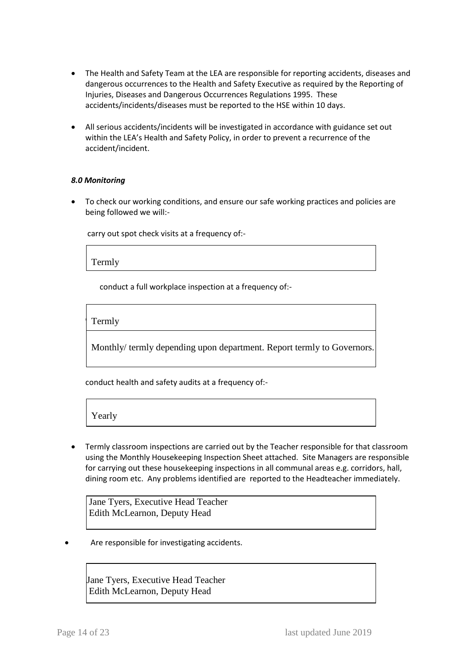- The Health and Safety Team at the LEA are responsible for reporting accidents, diseases and dangerous occurrences to the Health and Safety Executive as required by the Reporting of Injuries, Diseases and Dangerous Occurrences Regulations 1995. These accidents/incidents/diseases must be reported to the HSE within 10 days.
- All serious accidents/incidents will be investigated in accordance with guidance set out within the LEA's Health and Safety Policy, in order to prevent a recurrence of the accident/incident.

## *8.0 Monitoring*

 To check our working conditions, and ensure our safe working practices and policies are being followed we will:-

carry out spot check visits at a frequency of:-

Termly

conduct a full workplace inspection at a frequency of:-

 $\Gamma$  Termly Termly

Monthly/ termly depending upon department. Report termly to Governors.

conduct health and safety audits at a frequency of:-

Yearly

 Termly classroom inspections are carried out by the Teacher responsible for that classroom using the Monthly Housekeeping Inspection Sheet attached. Site Managers are responsible for carrying out these housekeeping inspections in all communal areas e.g. corridors, hall, dining room etc. Any problems identified are reported to the Headteacher immediately.

Jane Tyers, Executive Head Teacher Edith McLearnon, Deputy Head

Are responsible for investigating accidents.

Jane Tyers, Executive Head Teacher Edith McLearnon, Deputy Head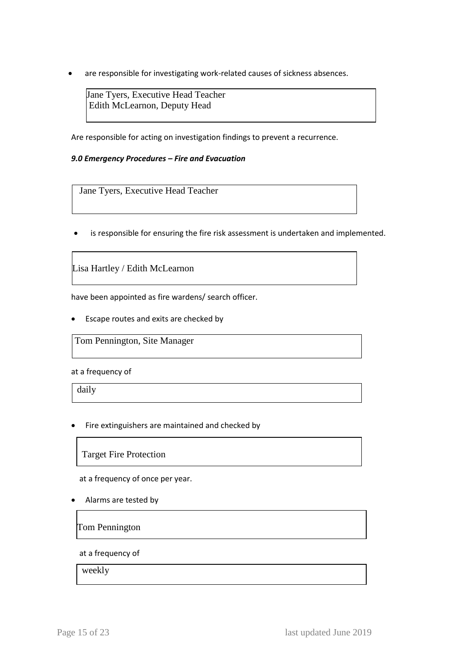are responsible for investigating work-related causes of sickness absences.

Jane Tyers, Executive Head Teacher Edith McLearnon, Deputy Head

Are responsible for acting on investigation findings to prevent a recurrence.

#### *9.0 Emergency Procedures – Fire and Evacuation*

Jane Tyers, Executive Head Teacher

is responsible for ensuring the fire risk assessment is undertaken and implemented.

Lisa Hartley / Edith McLearnon

have been appointed as fire wardens/ search officer.

Escape routes and exits are checked by

Tom Pennington, Site Manager

at a frequency of

daily

Fire extinguishers are maintained and checked by

Target Fire Protection

at a frequency of once per year.

Alarms are tested by

Tom Pennington

at a frequency of

weekly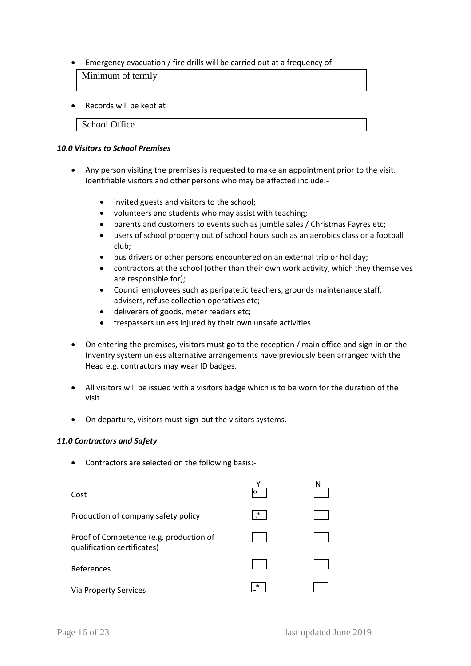Emergency evacuation / fire drills will be carried out at a frequency of

Minimum of termly

• Records will be kept at

School Office

#### *10.0 Visitors to School Premises*

- Any person visiting the premises is requested to make an appointment prior to the visit. Identifiable visitors and other persons who may be affected include:-
	- invited guests and visitors to the school;
	- volunteers and students who may assist with teaching;
	- parents and customers to events such as jumble sales / Christmas Fayres etc;
	- users of school property out of school hours such as an aerobics class or a football club;
	- bus drivers or other persons encountered on an external trip or holiday;
	- contractors at the school (other than their own work activity, which they themselves are responsible for);
	- Council employees such as peripatetic teachers, grounds maintenance staff, advisers, refuse collection operatives etc;
	- deliverers of goods, meter readers etc;
	- trespassers unless injured by their own unsafe activities.
- On entering the premises, visitors must go to the reception / main office and sign-in on the Inventry system unless alternative arrangements have previously been arranged with the Head e.g. contractors may wear ID badges.
- All visitors will be issued with a visitors badge which is to be worn for the duration of the visit.
- On departure, visitors must sign-out the visitors systems.

#### *11.0 Contractors and Safety*

Contractors are selected on the following basis:-

| Cost                                                                   | ∗           |  |
|------------------------------------------------------------------------|-------------|--|
| Production of company safety policy                                    | ∗<br>$\Box$ |  |
| Proof of Competence (e.g. production of<br>qualification certificates) |             |  |
| References                                                             |             |  |
| Via Property Services                                                  | ∗           |  |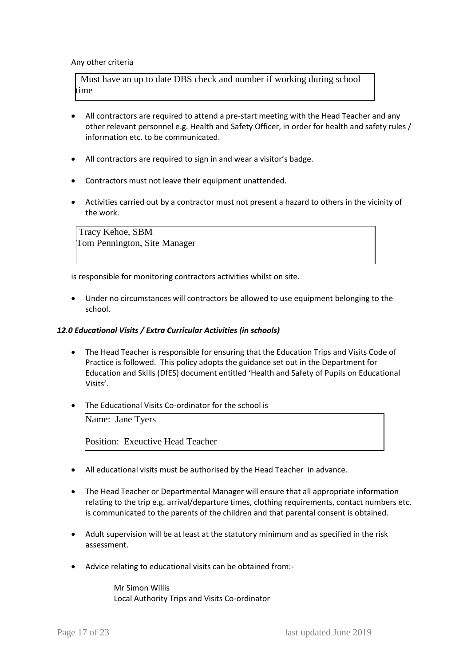#### Any other criteria

 Must have an up to date DBS check and number if working during school time

- All contractors are required to attend a pre-start meeting with the Head Teacher and any other relevant personnel e.g. Health and Safety Officer, in order for health and safety rules / information etc. to be communicated.
- All contractors are required to sign in and wear a visitor's badge.
- Contractors must not leave their equipment unattended.
- Activities carried out by a contractor must not present a hazard to others in the vicinity of the work.

Tracy Kehoe, SBM Tom Pennington, Site Manager

is responsible for monitoring contractors activities whilst on site.

 Under no circumstances will contractors be allowed to use equipment belonging to the school.

#### *12.0 Educational Visits / Extra Curricular Activities (in schools)*

- The Head Teacher is responsible for ensuring that the Education Trips and Visits Code of Practice is followed. This policy adopts the guidance set out in the Department for Education and Skills (DfES) document entitled 'Health and Safety of Pupils on Educational Visits'.
- The Educational Visits Co-ordinator for the school is

Name: Jane Tyers

Position: Exeuctive Head Teacher

- All educational visits must be authorised by the Head Teacher in advance.
- The Head Teacher or Departmental Manager will ensure that all appropriate information relating to the trip e.g. arrival/departure times, clothing requirements, contact numbers etc. is communicated to the parents of the children and that parental consent is obtained.
- Adult supervision will be at least at the statutory minimum and as specified in the risk assessment.
- Advice relating to educational visits can be obtained from:-

Mr Simon Willis Local Authority Trips and Visits Co-ordinator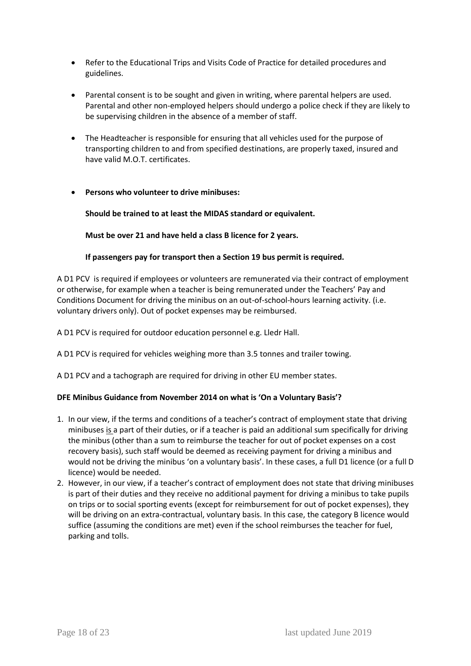- Refer to the Educational Trips and Visits Code of Practice for detailed procedures and guidelines.
- Parental consent is to be sought and given in writing, where parental helpers are used. Parental and other non-employed helpers should undergo a police check if they are likely to be supervising children in the absence of a member of staff.
- The Headteacher is responsible for ensuring that all vehicles used for the purpose of transporting children to and from specified destinations, are properly taxed, insured and have valid M.O.T. certificates.

# **Persons who volunteer to drive minibuses:**

**Should be trained to at least the MIDAS standard or equivalent.** 

**Must be over 21 and have held a class B licence for 2 years.**

## **If passengers pay for transport then a Section 19 bus permit is required.**

A D1 PCV is required if employees or volunteers are remunerated via their contract of employment or otherwise, for example when a teacher is being remunerated under the Teachers' Pay and Conditions Document for driving the minibus on an out-of-school-hours learning activity. (i.e. voluntary drivers only). Out of pocket expenses may be reimbursed.

A D1 PCV is required for outdoor education personnel e.g. Lledr Hall.

A D1 PCV is required for vehicles weighing more than 3.5 tonnes and trailer towing.

A D1 PCV and a tachograph are required for driving in other EU member states.

# **DFE Minibus Guidance from November 2014 on what is 'On a Voluntary Basis'?**

- 1. In our view, if the terms and conditions of a teacher's contract of employment state that driving minibuses is a part of their duties, or if a teacher is paid an additional sum specifically for driving the minibus (other than a sum to reimburse the teacher for out of pocket expenses on a cost recovery basis), such staff would be deemed as receiving payment for driving a minibus and would not be driving the minibus 'on a voluntary basis'. In these cases, a full D1 licence (or a full D licence) would be needed.
- 2. However, in our view, if a teacher's contract of employment does not state that driving minibuses is part of their duties and they receive no additional payment for driving a minibus to take pupils on trips or to social sporting events (except for reimbursement for out of pocket expenses), they will be driving on an extra-contractual, voluntary basis. In this case, the category B licence would suffice (assuming the conditions are met) even if the school reimburses the teacher for fuel, parking and tolls.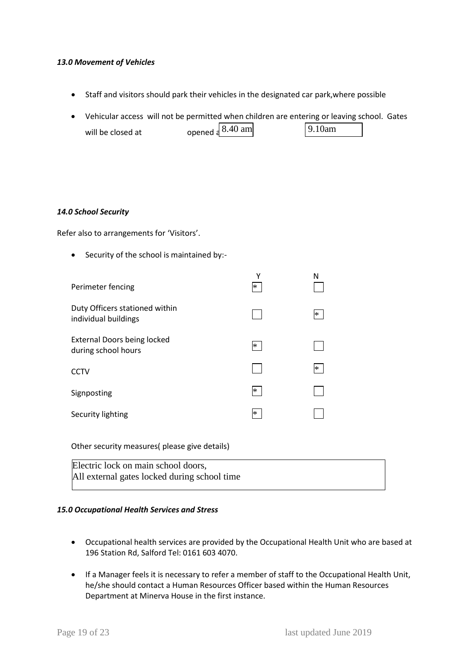#### *13.0 Movement of Vehicles*

- Staff and visitors should park their vehicles in the designated car park,where possible
- Vehicular access will not be permitted when children are entering or leaving school. Gates will be closed at opened a 8.40 am 9.10am

#### *14.0 School Security*

Refer also to arrangements for 'Visitors'.

• Security of the school is maintained by:-

| Perimeter fencing                                         | ٧<br>∗ | N |
|-----------------------------------------------------------|--------|---|
| Duty Officers stationed within<br>individual buildings    |        | ∗ |
| <b>External Doors being locked</b><br>during school hours | $\ast$ |   |
| <b>CCTV</b>                                               |        | ∗ |
| Signposting                                               | ∗      |   |
| Security lighting                                         | $\ast$ |   |

Other security measures( please give details)

| Electric lock on main school doors,          |  |
|----------------------------------------------|--|
| All external gates locked during school time |  |

#### *15.0 Occupational Health Services and Stress*

- Occupational health services are provided by the Occupational Health Unit who are based at 196 Station Rd, Salford Tel: 0161 603 4070.
- If a Manager feels it is necessary to refer a member of staff to the Occupational Health Unit, he/she should contact a Human Resources Officer based within the Human Resources Department at Minerva House in the first instance.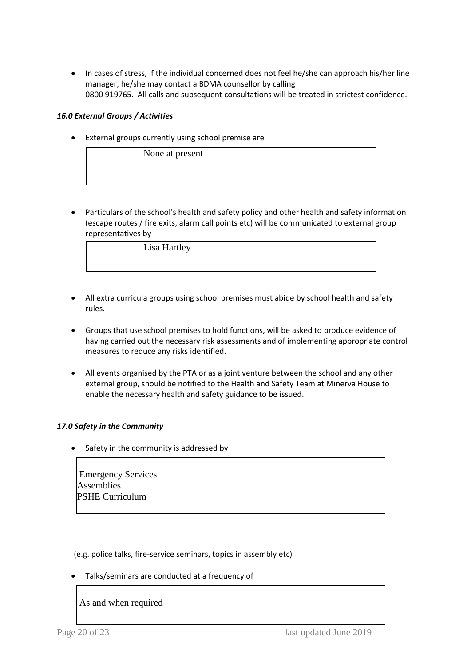In cases of stress, if the individual concerned does not feel he/she can approach his/her line manager, he/she may contact a BDMA counsellor by calling 0800 919765. All calls and subsequent consultations will be treated in strictest confidence.

# *16.0 External Groups / Activities*

External groups currently using school premise are

None at present

 Particulars of the school's health and safety policy and other health and safety information (escape routes / fire exits, alarm call points etc) will be communicated to external group representatives by

Lisa Hartley

- All extra curricula groups using school premises must abide by school health and safety rules.
- Groups that use school premises to hold functions, will be asked to produce evidence of having carried out the necessary risk assessments and of implementing appropriate control measures to reduce any risks identified.
- All events organised by the PTA or as a joint venture between the school and any other external group, should be notified to the Health and Safety Team at Minerva House to enable the necessary health and safety guidance to be issued.

#### *17.0 Safety in the Community*

Safety in the community is addressed by

Emergency Services Assemblies PSHE Curriculum

(e.g. police talks, fire-service seminars, topics in assembly etc)

Talks/seminars are conducted at a frequency of

As and when required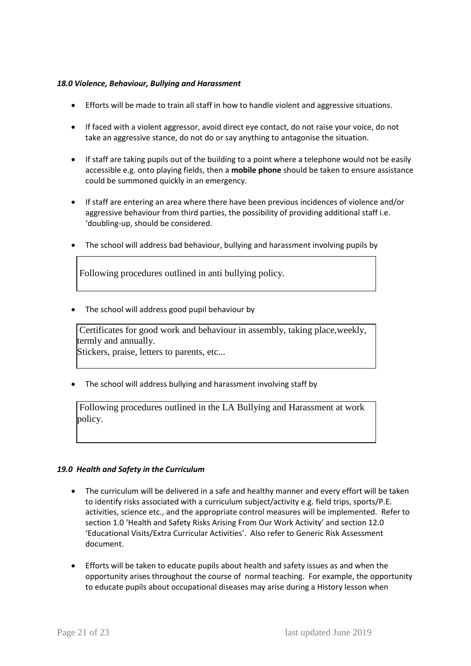#### *18.0 Violence, Behaviour, Bullying and Harassment*

- Efforts will be made to train all staff in how to handle violent and aggressive situations.
- If faced with a violent aggressor, avoid direct eye contact, do not raise your voice, do not take an aggressive stance, do not do or say anything to antagonise the situation.
- If staff are taking pupils out of the building to a point where a telephone would not be easily accessible e.g. onto playing fields, then a **mobile phone** should be taken to ensure assistance could be summoned quickly in an emergency.
- If staff are entering an area where there have been previous incidences of violence and/or aggressive behaviour from third parties, the possibility of providing additional staff i.e. 'doubling-up, should be considered.
- The school will address bad behaviour, bullying and harassment involving pupils by

Following procedures outlined in anti bullying policy.

• The school will address good pupil behaviour by

Certificates for good work and behaviour in assembly, taking place,weekly, termly and annually.

Stickers, praise, letters to parents, etc...

• The school will address bullying and harassment involving staff by

Following procedures outlined in the LA Bullying and Harassment at work policy.

#### *19.0 Health and Safety in the Curriculum*

- The curriculum will be delivered in a safe and healthy manner and every effort will be taken to identify risks associated with a curriculum subject/activity e.g. field trips, sports/P.E. activities, science etc., and the appropriate control measures will be implemented. Refer to section 1.0 'Health and Safety Risks Arising From Our Work Activity' and section 12.0 'Educational Visits/Extra Curricular Activities'. Also refer to Generic Risk Assessment document.
- Efforts will be taken to educate pupils about health and safety issues as and when the opportunity arises throughout the course of normal teaching. For example, the opportunity to educate pupils about occupational diseases may arise during a History lesson when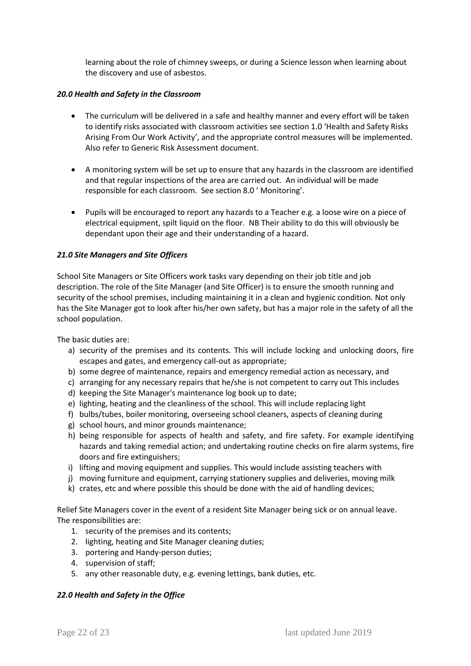learning about the role of chimney sweeps, or during a Science lesson when learning about the discovery and use of asbestos.

#### *20.0 Health and Safety in the Classroom*

- The curriculum will be delivered in a safe and healthy manner and every effort will be taken to identify risks associated with classroom activities see section 1.0 'Health and Safety Risks Arising From Our Work Activity', and the appropriate control measures will be implemented. Also refer to Generic Risk Assessment document.
- A monitoring system will be set up to ensure that any hazards in the classroom are identified and that regular inspections of the area are carried out. An individual will be made responsible for each classroom. See section 8.0 ' Monitoring'.
- Pupils will be encouraged to report any hazards to a Teacher e.g. a loose wire on a piece of electrical equipment, spilt liquid on the floor. NB Their ability to do this will obviously be dependant upon their age and their understanding of a hazard.

## *21.0 Site Managers and Site Officers*

School Site Managers or Site Officers work tasks vary depending on their job title and job description. The role of the Site Manager (and Site Officer) is to ensure the smooth running and security of the school premises, including maintaining it in a clean and hygienic condition. Not only has the Site Manager got to look after his/her own safety, but has a major role in the safety of all the school population.

The basic duties are:

- a) security of the premises and its contents. This will include locking and unlocking doors, fire escapes and gates, and emergency call-out as appropriate;
- b) some degree of maintenance, repairs and emergency remedial action as necessary, and
- c) arranging for any necessary repairs that he/she is not competent to carry out This includes
- d) keeping the Site Manager's maintenance log book up to date;
- e) lighting, heating and the cleanliness of the school. This will include replacing light
- f) bulbs/tubes, boiler monitoring, overseeing school cleaners, aspects of cleaning during
- g) school hours, and minor grounds maintenance;
- h) being responsible for aspects of health and safety, and fire safety. For example identifying hazards and taking remedial action; and undertaking routine checks on fire alarm systems, fire doors and fire extinguishers;
- i) lifting and moving equipment and supplies. This would include assisting teachers with
- j) moving furniture and equipment, carrying stationery supplies and deliveries, moving milk
- k) crates, etc and where possible this should be done with the aid of handling devices;

Relief Site Managers cover in the event of a resident Site Manager being sick or on annual leave. The responsibilities are:

- 1. security of the premises and its contents;
- 2. lighting, heating and Site Manager cleaning duties;
- 3. portering and Handy-person duties;
- 4. supervision of staff;
- 5. any other reasonable duty, e.g. evening lettings, bank duties, etc.

#### *22.0 Health and Safety in the Office*